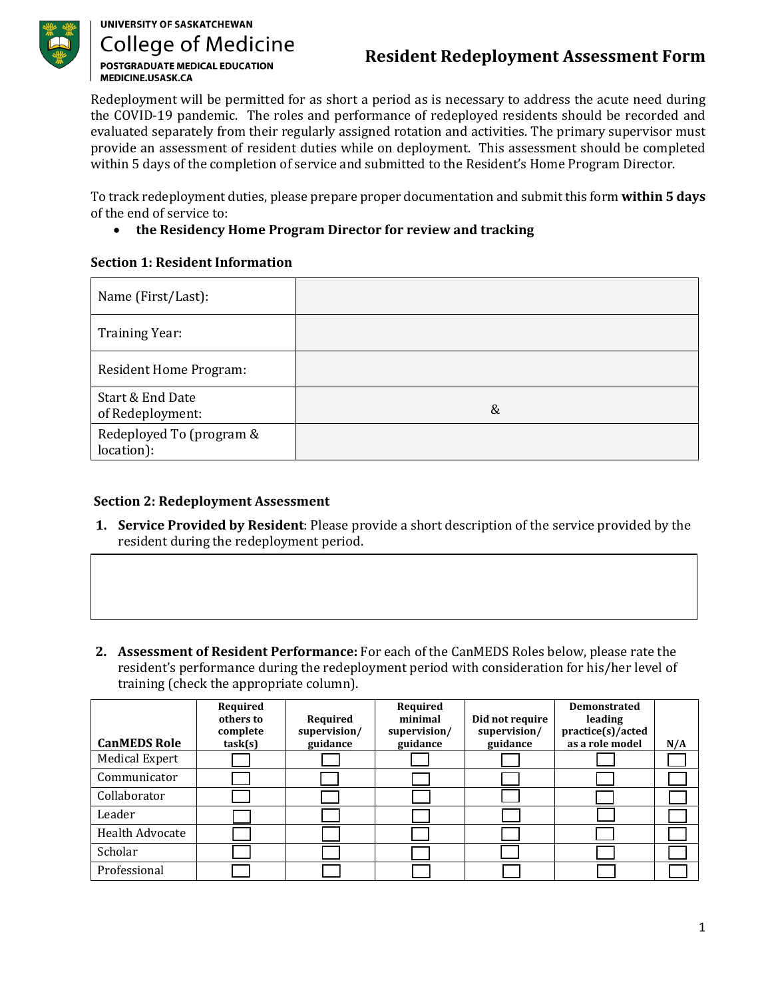

## **UNIVERSITY OF SASKATCHEWAN College of Medicine POSTGRADUATE MEDICAL EDUCATION** MEDICINE.USASK.CA

# **Resident Redeployment Assessment Form**

Redeployment will be permitted for as short a period as is necessary to address the acute need during the COVID-19 pandemic. The roles and performance of redeployed residents should be recorded and evaluated separately from their regularly assigned rotation and activities. The primary supervisor must provide an assessment of resident duties while on deployment. This assessment should be completed within 5 days of the completion of service and submitted to the Resident's Home Program Director.

To track redeployment duties, please prepare proper documentation and submit this form **within 5 days** of the end of service to:

### • **the Residency Home Program Director for review and tracking**

#### **Section 1: Resident Information**

| Name (First/Last):                     |   |
|----------------------------------------|---|
| <b>Training Year:</b>                  |   |
| Resident Home Program:                 |   |
| Start & End Date<br>of Redeployment:   | & |
| Redeployed To (program &<br>location): |   |

#### **Section 2: Redeployment Assessment**

- **1. Service Provided by Resident**: Please provide a short description of the service provided by the resident during the redeployment period.
- **2. Assessment of Resident Performance:** For each of the CanMEDS Roles below, please rate the resident's performance during the redeployment period with consideration for his/her level of training (check the appropriate column).

| <b>CanMEDS Role</b>    | Required<br>others to<br>complete<br>task(s) | Required<br>supervision/<br>guidance | Required<br>minimal<br>supervision/<br>guidance | Did not require<br>supervision/<br>guidance | <b>Demonstrated</b><br>leading<br>practice(s)/acted<br>as a role model | N/A |
|------------------------|----------------------------------------------|--------------------------------------|-------------------------------------------------|---------------------------------------------|------------------------------------------------------------------------|-----|
| <b>Medical Expert</b>  |                                              |                                      |                                                 |                                             |                                                                        |     |
| Communicator           |                                              |                                      |                                                 |                                             |                                                                        |     |
| Collaborator           |                                              |                                      |                                                 |                                             |                                                                        |     |
| Leader                 |                                              |                                      |                                                 |                                             |                                                                        |     |
| <b>Health Advocate</b> |                                              |                                      |                                                 |                                             |                                                                        |     |
| Scholar                |                                              |                                      |                                                 |                                             |                                                                        |     |
| Professional           |                                              |                                      |                                                 |                                             |                                                                        |     |